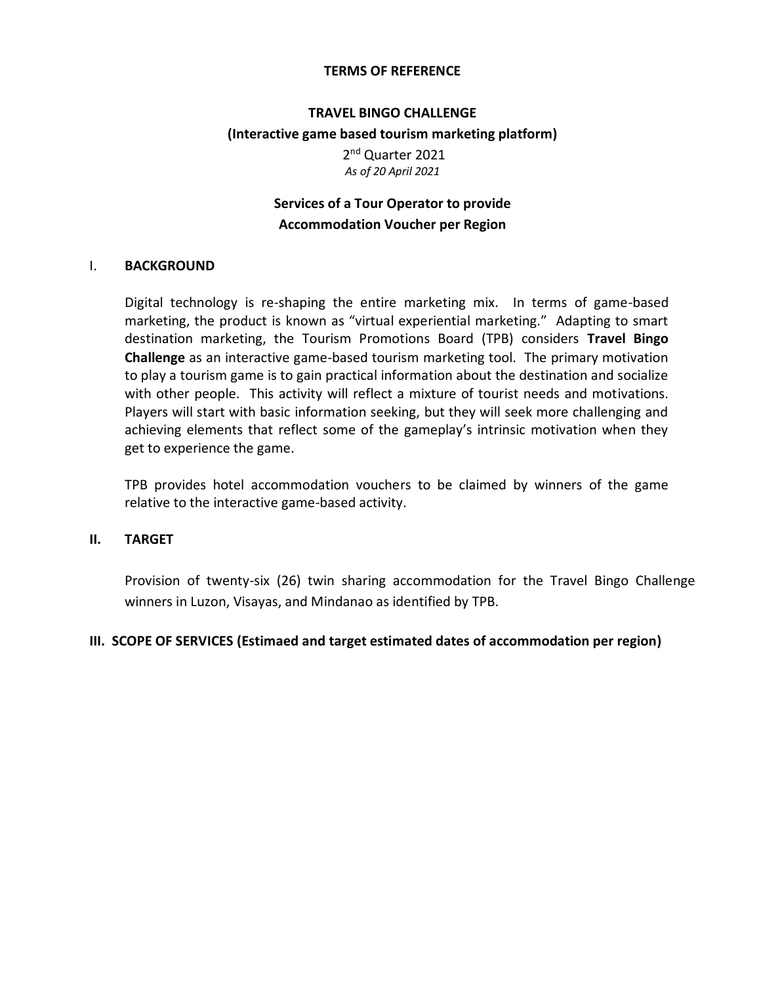#### **TERMS OF REFERENCE**

#### **TRAVEL BINGO CHALLENGE**

## **(Interactive game based tourism marketing platform)**

2<sup>nd</sup> Quarter 2021 *As of 20 April 2021*

# **Services of a Tour Operator to provide Accommodation Voucher per Region**

#### I. **BACKGROUND**

Digital technology is re-shaping the entire marketing mix. In terms of game-based marketing, the product is known as "virtual experiential marketing." Adapting to smart destination marketing, the Tourism Promotions Board (TPB) considers **Travel Bingo Challenge** as an interactive game-based tourism marketing tool. The primary motivation to play a tourism game is to gain practical information about the destination and socialize with other people. This activity will reflect a mixture of tourist needs and motivations. Players will start with basic information seeking, but they will seek more challenging and achieving elements that reflect some of the gameplay's intrinsic motivation when they get to experience the game.

TPB provides hotel accommodation vouchers to be claimed by winners of the game relative to the interactive game-based activity.

#### **II. TARGET**

Provision of twenty-six (26) twin sharing accommodation for the Travel Bingo Challenge winners in Luzon, Visayas, and Mindanao as identified by TPB.

### **III. SCOPE OF SERVICES (Estimaed and target estimated dates of accommodation per region)**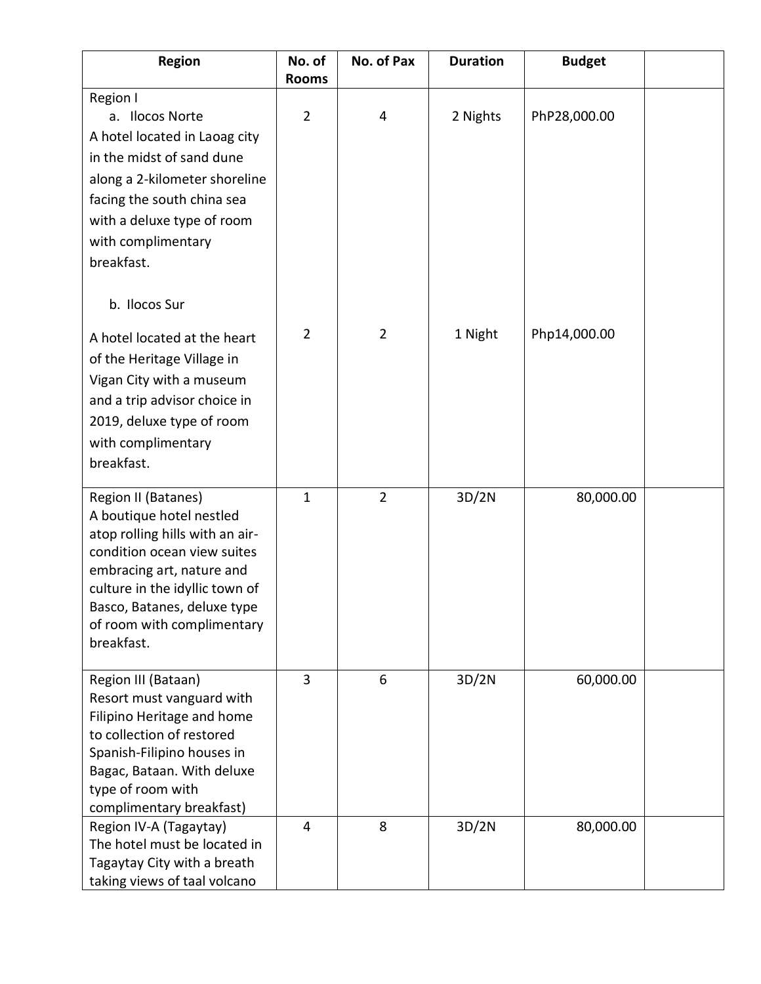| <b>Region</b>                                                                                                                                                                                                                                               | No. of<br><b>Rooms</b> | No. of Pax     | <b>Duration</b> | <b>Budget</b> |  |
|-------------------------------------------------------------------------------------------------------------------------------------------------------------------------------------------------------------------------------------------------------------|------------------------|----------------|-----------------|---------------|--|
| Region I<br>a. Ilocos Norte<br>A hotel located in Laoag city<br>in the midst of sand dune<br>along a 2-kilometer shoreline<br>facing the south china sea<br>with a deluxe type of room<br>with complimentary<br>breakfast.                                  | $\overline{2}$         | 4              | 2 Nights        | PhP28,000.00  |  |
| b. Ilocos Sur<br>A hotel located at the heart                                                                                                                                                                                                               | $\overline{2}$         | $\overline{2}$ | 1 Night         | Php14,000.00  |  |
| of the Heritage Village in<br>Vigan City with a museum<br>and a trip advisor choice in<br>2019, deluxe type of room<br>with complimentary<br>breakfast.                                                                                                     |                        |                |                 |               |  |
| Region II (Batanes)<br>A boutique hotel nestled<br>atop rolling hills with an air-<br>condition ocean view suites<br>embracing art, nature and<br>culture in the idyllic town of<br>Basco, Batanes, deluxe type<br>of room with complimentary<br>breakfast. | $\mathbf{1}$           | $\overline{2}$ | 3D/2N           | 80,000.00     |  |
| Region III (Bataan)<br>Resort must vanguard with<br>Filipino Heritage and home<br>to collection of restored<br>Spanish-Filipino houses in<br>Bagac, Bataan. With deluxe<br>type of room with<br>complimentary breakfast)                                    | 3                      | 6              | 3D/2N           | 60,000.00     |  |
| Region IV-A (Tagaytay)<br>The hotel must be located in<br>Tagaytay City with a breath<br>taking views of taal volcano                                                                                                                                       | 4                      | 8              | 3D/2N           | 80,000.00     |  |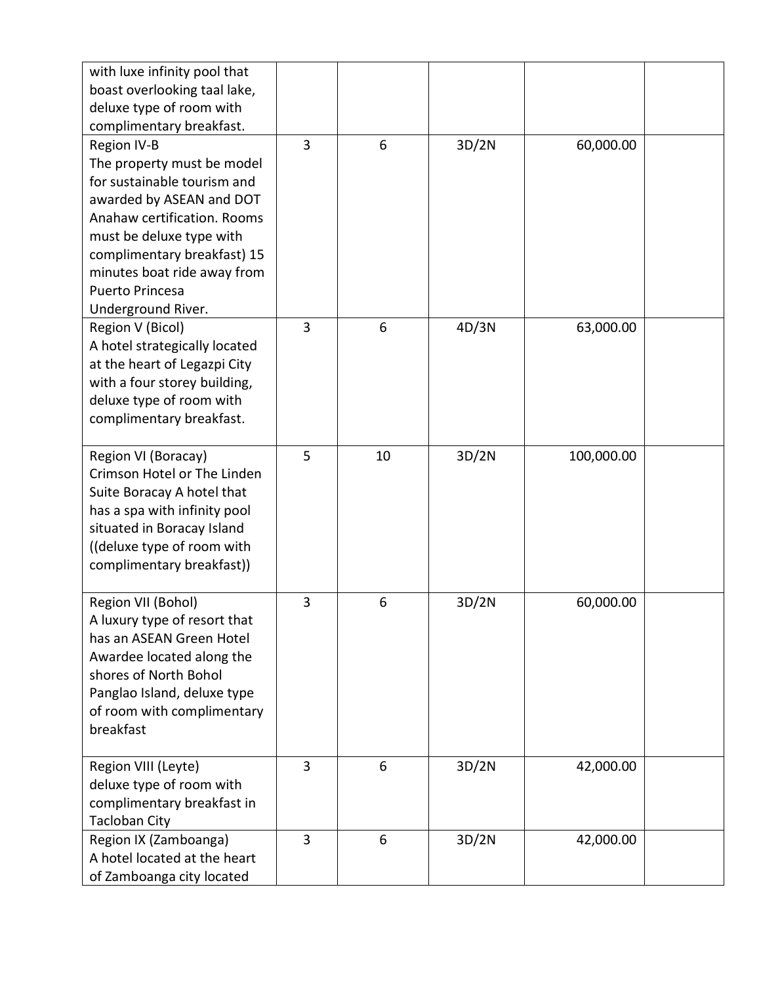| with luxe infinity pool that                  |   |    |       |            |  |
|-----------------------------------------------|---|----|-------|------------|--|
| boast overlooking taal lake,                  |   |    |       |            |  |
| deluxe type of room with                      |   |    |       |            |  |
| complimentary breakfast.                      |   |    |       |            |  |
| Region IV-B                                   | 3 | 6  | 3D/2N | 60,000.00  |  |
| The property must be model                    |   |    |       |            |  |
| for sustainable tourism and                   |   |    |       |            |  |
| awarded by ASEAN and DOT                      |   |    |       |            |  |
| Anahaw certification. Rooms                   |   |    |       |            |  |
| must be deluxe type with                      |   |    |       |            |  |
| complimentary breakfast) 15                   |   |    |       |            |  |
| minutes boat ride away from                   |   |    |       |            |  |
| Puerto Princesa                               |   |    |       |            |  |
| Underground River.                            |   |    |       |            |  |
| Region V (Bicol)                              | 3 | 6  | 4D/3N | 63,000.00  |  |
| A hotel strategically located                 |   |    |       |            |  |
| at the heart of Legazpi City                  |   |    |       |            |  |
| with a four storey building,                  |   |    |       |            |  |
| deluxe type of room with                      |   |    |       |            |  |
| complimentary breakfast.                      |   |    |       |            |  |
|                                               |   |    |       |            |  |
| Region VI (Boracay)                           | 5 | 10 | 3D/2N | 100,000.00 |  |
| Crimson Hotel or The Linden                   |   |    |       |            |  |
| Suite Boracay A hotel that                    |   |    |       |            |  |
| has a spa with infinity pool                  |   |    |       |            |  |
| situated in Boracay Island                    |   |    |       |            |  |
| ((deluxe type of room with                    |   |    |       |            |  |
| complimentary breakfast))                     |   |    |       |            |  |
|                                               |   |    |       |            |  |
| Region VII (Bohol)                            | 3 | 6  | 3D/2N | 60,000.00  |  |
| A luxury type of resort that                  |   |    |       |            |  |
| has an ASEAN Green Hotel                      |   |    |       |            |  |
| Awardee located along the                     |   |    |       |            |  |
| shores of North Bohol                         |   |    |       |            |  |
| Panglao Island, deluxe type                   |   |    |       |            |  |
| of room with complimentary                    |   |    |       |            |  |
| breakfast                                     |   |    |       |            |  |
|                                               | 3 | 6  |       |            |  |
| Region VIII (Leyte)                           |   |    | 3D/2N | 42,000.00  |  |
| deluxe type of room with                      |   |    |       |            |  |
| complimentary breakfast in                    |   |    |       |            |  |
| <b>Tacloban City</b><br>Region IX (Zamboanga) | 3 | 6  | 3D/2N | 42,000.00  |  |
| A hotel located at the heart                  |   |    |       |            |  |
| of Zamboanga city located                     |   |    |       |            |  |
|                                               |   |    |       |            |  |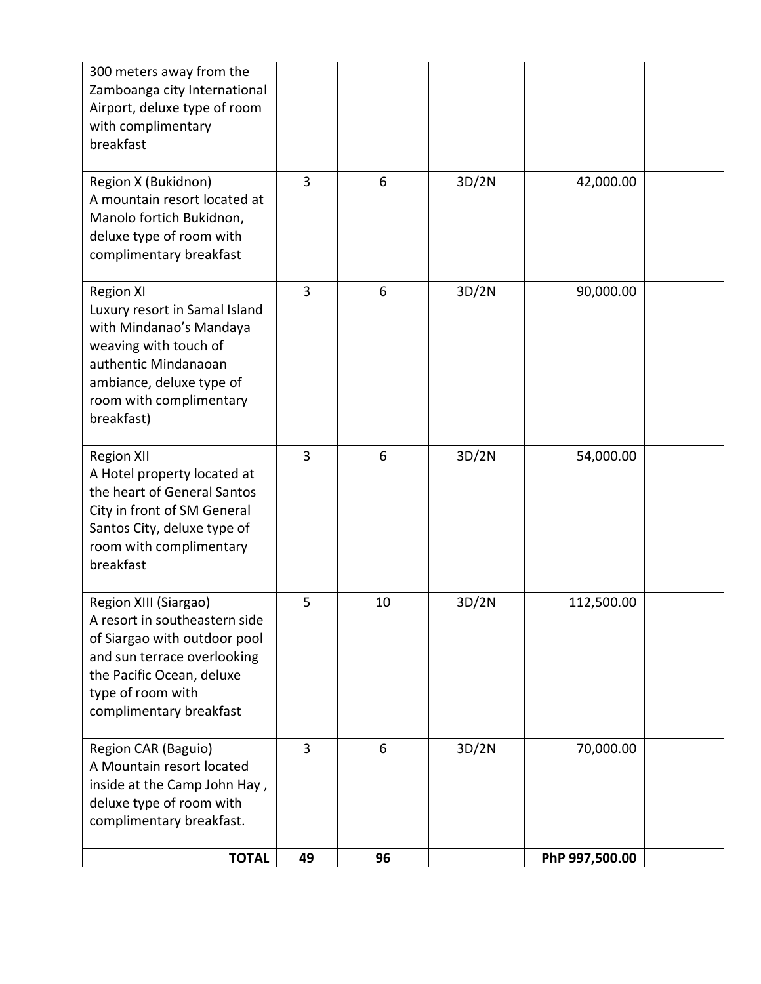| <b>TOTAL</b>                                                                                                                                                                                       | 49 | 96 |       | PhP 997,500.00 |  |
|----------------------------------------------------------------------------------------------------------------------------------------------------------------------------------------------------|----|----|-------|----------------|--|
| Region CAR (Baguio)<br>A Mountain resort located<br>inside at the Camp John Hay,<br>deluxe type of room with<br>complimentary breakfast.                                                           | 3  | 6  | 3D/2N | 70,000.00      |  |
| Region XIII (Siargao)<br>A resort in southeastern side<br>of Siargao with outdoor pool<br>and sun terrace overlooking<br>the Pacific Ocean, deluxe<br>type of room with<br>complimentary breakfast | 5  | 10 | 3D/2N | 112,500.00     |  |
| <b>Region XII</b><br>A Hotel property located at<br>the heart of General Santos<br>City in front of SM General<br>Santos City, deluxe type of<br>room with complimentary<br>breakfast              | 3  | 6  | 3D/2N | 54,000.00      |  |
| <b>Region XI</b><br>Luxury resort in Samal Island<br>with Mindanao's Mandaya<br>weaving with touch of<br>authentic Mindanaoan<br>ambiance, deluxe type of<br>room with complimentary<br>breakfast) | 3  | 6  | 3D/2N | 90,000.00      |  |
| Region X (Bukidnon)<br>A mountain resort located at<br>Manolo fortich Bukidnon,<br>deluxe type of room with<br>complimentary breakfast                                                             | 3  | 6  | 3D/2N | 42,000.00      |  |
| 300 meters away from the<br>Zamboanga city International<br>Airport, deluxe type of room<br>with complimentary<br>breakfast                                                                        |    |    |       |                |  |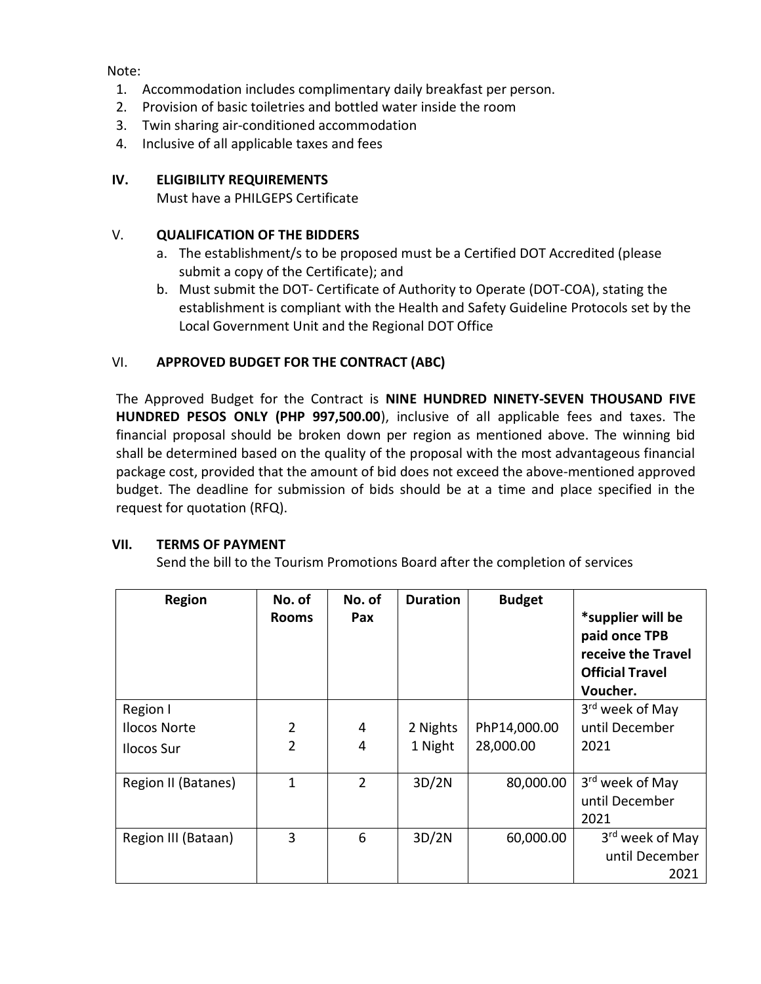Note:

- 1. Accommodation includes complimentary daily breakfast per person.
- 2. Provision of basic toiletries and bottled water inside the room
- 3. Twin sharing air-conditioned accommodation
- 4. Inclusive of all applicable taxes and fees

# **IV. ELIGIBILITY REQUIREMENTS**

Must have a PHILGEPS Certificate

## V. **QUALIFICATION OF THE BIDDERS**

- a. The establishment/s to be proposed must be a Certified DOT Accredited (please submit a copy of the Certificate); and
- b. Must submit the DOT- Certificate of Authority to Operate (DOT-COA), stating the establishment is compliant with the Health and Safety Guideline Protocols set by the Local Government Unit and the Regional DOT Office

# VI. **APPROVED BUDGET FOR THE CONTRACT (ABC)**

The Approved Budget for the Contract is **NINE HUNDRED NINETY-SEVEN THOUSAND FIVE HUNDRED PESOS ONLY (PHP 997,500.00**), inclusive of all applicable fees and taxes. The financial proposal should be broken down per region as mentioned above. The winning bid shall be determined based on the quality of the proposal with the most advantageous financial package cost, provided that the amount of bid does not exceed the above-mentioned approved budget. The deadline for submission of bids should be at a time and place specified in the request for quotation (RFQ).

### **VII. TERMS OF PAYMENT**

Send the bill to the Tourism Promotions Board after the completion of services

| <b>Region</b>       | No. of<br><b>Rooms</b> | No. of<br>Pax  | <b>Duration</b> | <b>Budget</b> | *supplier will be<br>paid once TPB<br>receive the Travel<br><b>Official Travel</b><br>Voucher. |
|---------------------|------------------------|----------------|-----------------|---------------|------------------------------------------------------------------------------------------------|
| Region I            |                        |                |                 |               | 3 <sup>rd</sup> week of May                                                                    |
| <b>Ilocos Norte</b> | $\overline{2}$         | 4              | 2 Nights        | PhP14,000.00  | until December                                                                                 |
| Ilocos Sur          | $\overline{2}$         | 4              | 1 Night         | 28,000.00     | 2021                                                                                           |
| Region II (Batanes) | 1                      | $\overline{2}$ | 3D/2N           | 80,000.00     | 3 <sup>rd</sup> week of May                                                                    |
|                     |                        |                |                 |               | until December                                                                                 |
|                     |                        |                |                 |               | 2021                                                                                           |
| Region III (Bataan) | 3                      | 6              | 3D/2N           | 60,000.00     | 3 <sup>rd</sup> week of May                                                                    |
|                     |                        |                |                 |               | until December                                                                                 |
|                     |                        |                |                 |               | 2021                                                                                           |